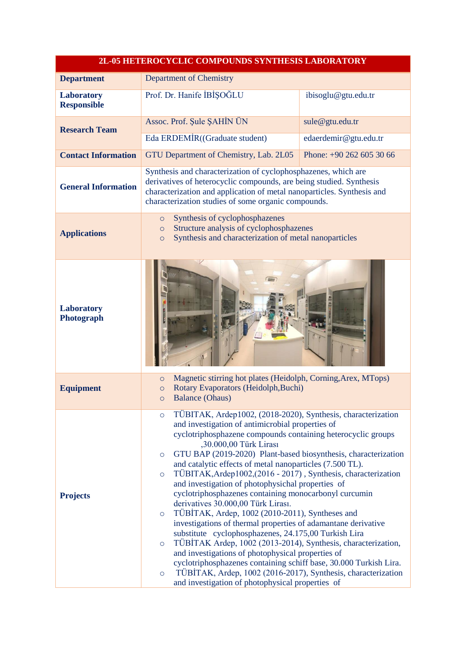| 2L-05 HETEROCYCLIC COMPOUNDS SYNTHESIS LABORATORY |                                                                                                                                                                                                                                                                                                                                                                                                                                                                                                                                                                                                                                                                                                                                                                                                                                                                                                                                                                                                                                                                                                                              |                          |  |  |
|---------------------------------------------------|------------------------------------------------------------------------------------------------------------------------------------------------------------------------------------------------------------------------------------------------------------------------------------------------------------------------------------------------------------------------------------------------------------------------------------------------------------------------------------------------------------------------------------------------------------------------------------------------------------------------------------------------------------------------------------------------------------------------------------------------------------------------------------------------------------------------------------------------------------------------------------------------------------------------------------------------------------------------------------------------------------------------------------------------------------------------------------------------------------------------------|--------------------------|--|--|
| <b>Department</b>                                 | <b>Department of Chemistry</b>                                                                                                                                                                                                                                                                                                                                                                                                                                                                                                                                                                                                                                                                                                                                                                                                                                                                                                                                                                                                                                                                                               |                          |  |  |
| <b>Laboratory</b><br><b>Responsible</b>           | Prof. Dr. Hanife İBİŞOĞLU                                                                                                                                                                                                                                                                                                                                                                                                                                                                                                                                                                                                                                                                                                                                                                                                                                                                                                                                                                                                                                                                                                    | ibisoglu@gtu.edu.tr      |  |  |
| <b>Research Team</b>                              | Assoc. Prof. Şule ŞAHİN ÜN                                                                                                                                                                                                                                                                                                                                                                                                                                                                                                                                                                                                                                                                                                                                                                                                                                                                                                                                                                                                                                                                                                   | sule@gtu.edu.tr          |  |  |
|                                                   | Eda ERDEMİR((Graduate student)<br>edaerdemir@gtu.edu.tr                                                                                                                                                                                                                                                                                                                                                                                                                                                                                                                                                                                                                                                                                                                                                                                                                                                                                                                                                                                                                                                                      |                          |  |  |
| <b>Contact Information</b>                        | GTU Department of Chemistry, Lab. 2L05                                                                                                                                                                                                                                                                                                                                                                                                                                                                                                                                                                                                                                                                                                                                                                                                                                                                                                                                                                                                                                                                                       | Phone: +90 262 605 30 66 |  |  |
| <b>General Information</b>                        | Synthesis and characterization of cyclophosphazenes, which are<br>derivatives of heterocyclic compounds, are being studied. Synthesis<br>characterization and application of metal nanoparticles. Synthesis and<br>characterization studies of some organic compounds.                                                                                                                                                                                                                                                                                                                                                                                                                                                                                                                                                                                                                                                                                                                                                                                                                                                       |                          |  |  |
| <b>Applications</b>                               | Synthesis of cyclophosphazenes<br>$\circ$<br>Structure analysis of cyclophosphazenes<br>$\circ$<br>Synthesis and characterization of metal nanoparticles<br>$\circ$                                                                                                                                                                                                                                                                                                                                                                                                                                                                                                                                                                                                                                                                                                                                                                                                                                                                                                                                                          |                          |  |  |
| <b>Laboratory</b><br>Photograph                   |                                                                                                                                                                                                                                                                                                                                                                                                                                                                                                                                                                                                                                                                                                                                                                                                                                                                                                                                                                                                                                                                                                                              |                          |  |  |
| <b>Equipment</b>                                  | Magnetic stirring hot plates (Heidolph, Corning, Arex, MTops)<br>$\circ$<br>Rotary Evaporators (Heidolph, Buchi)<br>$\circ$<br><b>Balance (Ohaus)</b><br>$\circ$                                                                                                                                                                                                                                                                                                                                                                                                                                                                                                                                                                                                                                                                                                                                                                                                                                                                                                                                                             |                          |  |  |
| <b>Projects</b>                                   | TÜBITAK, Ardep1002, (2018-2020), Synthesis, characterization<br>$\circ$<br>and investigation of antimicrobial properties of<br>cyclotriphosphazene compounds containing heterocyclic groups<br>,30.000,00 Türk Lirası<br>GTU BAP (2019-2020) Plant-based biosynthesis, characterization<br>$\circ$<br>and catalytic effects of metal nanoparticles (7.500 TL).<br>TÜBITAK, Ardep1002, (2016 - 2017), Synthesis, characterization<br>$\circ$<br>and investigation of photophysichal properties of<br>cyclotriphosphazenes containing monocarbonyl curcumin<br>derivatives 30.000,00 Türk Lirası.<br>TÜBİTAK, Ardep, 1002 (2010-2011), Syntheses and<br>$\circ$<br>investigations of thermal properties of adamantane derivative<br>substitute cyclophosphazenes, 24.175,00 Turkish Lira<br>TÜBİTAK Ardep, 1002 (2013-2014), Synthesis, characterization,<br>$\circ$<br>and investigations of photophysical properties of<br>cyclotriphosphazenes containing schiff base, 30.000 Turkish Lira.<br>TÜBİTAK, Ardep, 1002 (2016-2017), Synthesis, characterization<br>$\circ$<br>and investigation of photophysical properties of |                          |  |  |